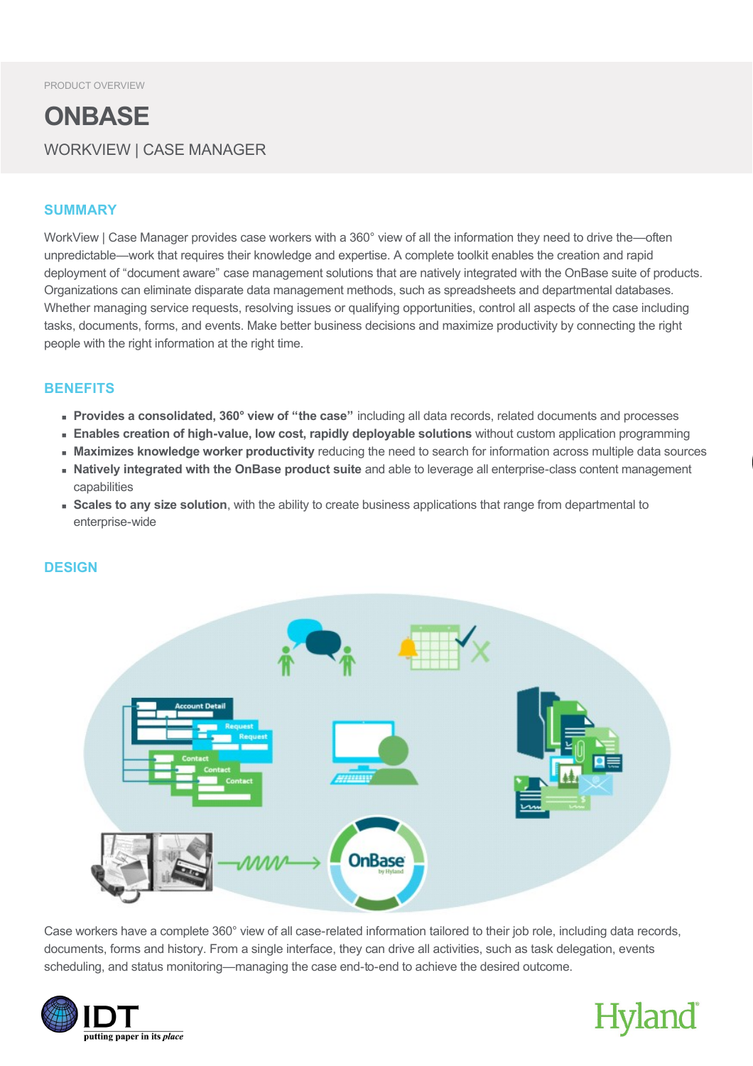### **ONBASE** WORKVIEW | CASE MANAGER

#### **SUMMARY**

WorkView | Case Manager provides case workers with a 360° view of all the information they need to drive the—often unpredictable—work that requires their knowledge and expertise. A complete toolkit enables the creation and rapid deployment of "document aware" case management solutions that are natively integrated with the OnBase suite of products. Organizations can eliminate disparate data management methods, such as spreadsheets and departmental databases. Whether managing service requests, resolving issues or qualifying opportunities, control all aspects of the case including tasks, documents, forms, and events. Make better business decisions and maximize productivity by connecting the right people with the right information at the right time.

#### **BENEFITS**

- **Provides a consolidated, 360° view of "the case"** including all data records, related documents and processes
- **Enables creation of high-value, low cost, rapidly deployable solutions** without custom application programming
- **Maximizes knowledge worker productivity** reducing the need to search for information across multiple data sources
- <sup>n</sup> **Natively integrated with the OnBase product suite** and able to leverage all enterpriseclass content management capabilities
- **s** Scales to any size solution, with the ability to create business applications that range from departmental to enterprise-wide



Case workers have a complete 360° view of all case-related information tailored to their job role, including data records, documents, forms and history. From a single interface, they can drive all activities, such as task delegation, events scheduling, and status monitoring—managing the case end-to-end to achieve the desired outcome.



## Hyland

#### **DESIGN**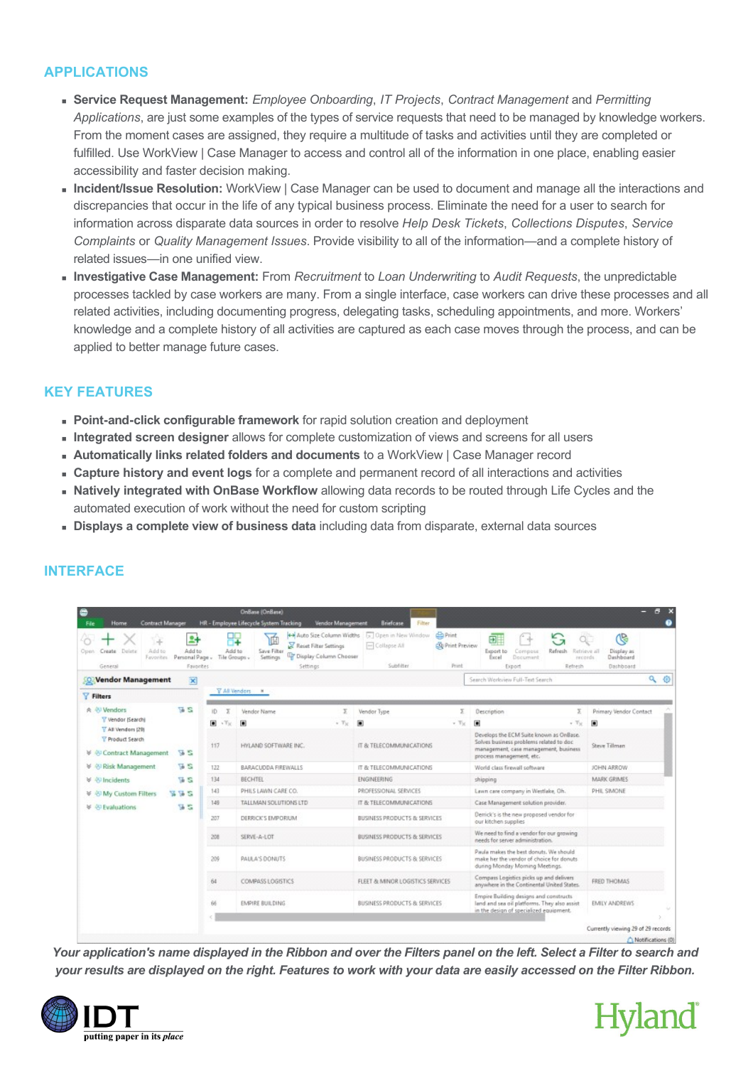#### **APPLICATIONS**

- <sup>n</sup> **Service Request Management:** *Employee Onboarding*, *IT Projects*, *Contract Management* and *Permitting Applications*, are just some examples of the types of service requests that need to be managed by knowledge workers. From the moment cases are assigned, they require a multitude of tasks and activities until they are completed or fulfilled. Use WorkView | Case Manager to access and control all of the information in one place, enabling easier accessibility and faster decision making.
- <sup>n</sup> **Incident/Issue Resolution:** WorkView | Case Manager can be used to document and manage all the interactions and discrepancies that occur in the life of any typical business process. Eliminate the need for a user to search for information across disparate data sources in order to resolve *Help Desk Tickets*, *Collections Disputes*, *Service Complaints* or *Quality Management Issues*. Provide visibility to all of the information—and a complete history of related issues—in one unified view.
- <sup>n</sup> **Investigative Case Management:** From *Recruitment* to *Loan Underwriting* to *Audit Requests*, the unpredictable processes tackled by case workers are many. From a single interface, case workers can drive these processes and all related activities, including documenting progress, delegating tasks, scheduling appointments, and more. Workers' knowledge and a complete history of all activities are captured as each case moves through the process, and can be applied to better manage future cases.

#### **KEY FEATURES**

- **Point-and-click configurable framework** for rapid solution creation and deployment
- **Integrated screen designer** allows for complete customization of views and screens for all users
- <sup>n</sup> **Automatically links related folders and documents** to a WorkView | Case Manager record
- <sup>n</sup> **Capture history and event logs** for a complete and permanent record of all interactions and activities
- **n** Natively integrated with OnBase Workflow allowing data records to be routed through Life Cycles and the automated execution of work without the need for custom scripting
- <sup>n</sup> **Displays a complete view of business data** including data from disparate, external data sources

| 와<br>Add to<br>Add to<br>Create Delete<br>Open:<br>Personal Page -<br>Favorites<br>Favorites<br>General | 14<br>Add to<br>Tile Groups -             | 喢<br>Reset Filter Settings<br>Save Filter<br>T Display Column Chooser<br>Settings<br>Settings | <b>Print</b><br>44 Auto Size Column Widths [5] Open in New Window<br>CGI Print Preview<br>- Collapse All<br>Subfilter<br>Primt | G<br>ÖÜ.<br>⊟⊟<br>Export to<br>Compose<br>Refresh-<br>Retrieve all<br>Excel<br>Document<br>excords.<br>Refresh<br>Export                                | ဇ<br>Display as<br>Dashboard<br>Dashboard |  |
|---------------------------------------------------------------------------------------------------------|-------------------------------------------|-----------------------------------------------------------------------------------------------|--------------------------------------------------------------------------------------------------------------------------------|---------------------------------------------------------------------------------------------------------------------------------------------------------|-------------------------------------------|--|
| $\overline{\mathbf{x}}$<br><b>Vendor Management</b>                                                     |                                           |                                                                                               |                                                                                                                                | Search Worloview Full-Text Search                                                                                                                       | ۹<br>魯                                    |  |
| <b>Y</b> Filters                                                                                        |                                           | VAI Vendors M                                                                                 |                                                                                                                                |                                                                                                                                                         |                                           |  |
| 56<br><b>☆ 名 Vendors</b>                                                                                | iß                                        | Vendor Name                                                                                   | Vendor Type                                                                                                                    | Description                                                                                                                                             | Primary Vendor Contact                    |  |
| V Vendor (Search)                                                                                       | $\blacksquare$<br>$\sqrt{\gamma_{\rm K}}$ | $\blacksquare$<br>$+$ $T_X$                                                                   | 间<br>$+$ Tic.                                                                                                                  | $\blacksquare$<br>$+$ $\mathbb{T}_{2}$                                                                                                                  | Ω                                         |  |
| T All Vendors (29)<br>T Product Search<br>76.12<br>V & Contract Management                              | 117                                       | HYLAND SOFTWARE INC.                                                                          | IT & TELECOMMUNICATIONS                                                                                                        | Develops the ECM Suite known as OnBase.<br>Solves business problems related to doc<br>management, case management, business<br>process management, etc. | Steve Tillman                             |  |
| 36<br>₩ & Risk Management                                                                               | 122                                       | BARACUODA FIREWALLS                                                                           | IT & TELECOMMUNICATIONS                                                                                                        | World class firewall software                                                                                                                           | JOHN ARROW                                |  |
| 5x<br><b>₩ <w< b=""> Incidents</w<></b>                                                                 | 134                                       | <b>BECHTEL</b>                                                                                | <b>ENGINEERING</b>                                                                                                             | shipping                                                                                                                                                | MARK GRIMES                               |  |
| <b>WWS</b><br>V & My Custom Filters                                                                     | 143                                       | PHILS LAWN CARE CO.                                                                           | PROFESSIONAL SERVICES                                                                                                          | Lawn care company in Westlake, Oh.                                                                                                                      | PHIL SIMONE                               |  |
| 55<br>V ⊙ Evaluations                                                                                   | 149                                       | TALLMAN SOLUTIONS LTD                                                                         | IT & TELECOMMUNICATIONS                                                                                                        | Case Management solution provider.                                                                                                                      |                                           |  |
|                                                                                                         | 207                                       | DERRICK'S EMPORIUM                                                                            | BUSINESS PRODUCTS & SERVICES                                                                                                   | Denick's is the new proposed vendor for<br>our kitchen supplies                                                                                         |                                           |  |
|                                                                                                         | 208                                       | SERVE-A-LOT                                                                                   | BUSINESS PRODUCTS & SERVICES                                                                                                   | We need to find a vendor for our growing<br>needs for server administration.                                                                            |                                           |  |
|                                                                                                         | 209                                       | PAULA'S DONUTS                                                                                | BUSINESS PRODUCTS & SERVICES                                                                                                   | Paula makes the best donuts. We should<br>make her the vendor of choice for donuts.<br>during Monday Morning Meetings.                                  |                                           |  |
|                                                                                                         | 64                                        | COMPASS LOGISTICS                                                                             | FLEET & MINOR LOGISTICS SERVICES                                                                                               | Compass Logistics picks up and delivers<br>anywhere in the Continental United States.                                                                   | FRED THOMAS                               |  |
|                                                                                                         | 66                                        | EMPIRE BUILDING                                                                               | BUSINESS PRODUCTS & SERVICES                                                                                                   | Empire Building designs and constructs<br>land and sea oil platforms. They also assist<br>in the design of specialized equipment.                       | EMILY ANDREWS                             |  |

*Your application's name displayed in the Ribbon and over the Filters panel on the left. Select a Filter to search and your results are displayed on the right. Features to work with your data are easily accessed on the Filter Ribbon.*



#### **INTERFACE**

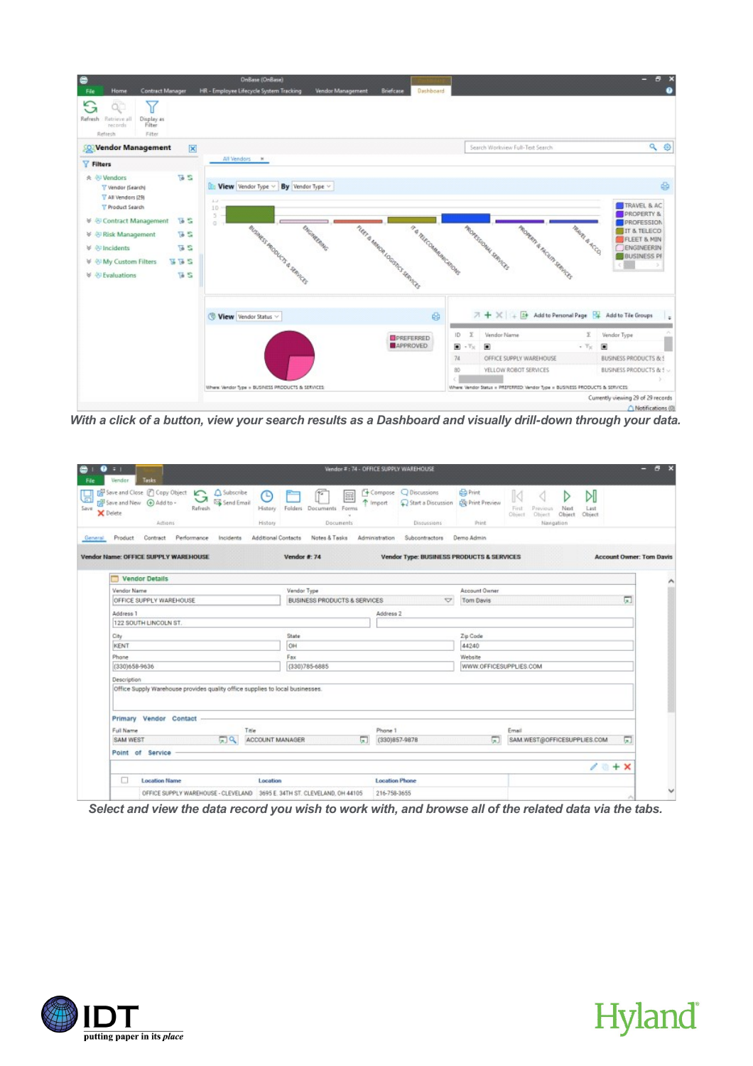

*With a click of a button, view your search results as a Dashboard and visually drill-down through your data.* 

| ◒<br>- 38<br>Tasks<br><b>Vendor</b>                                             |                                                                               |                         |                                           | Wendor #: 74 - OFFICE SUPPLY WAREHOUSE |                                                                               |                          |                                              |                                                      |                                 | в<br>- |
|---------------------------------------------------------------------------------|-------------------------------------------------------------------------------|-------------------------|-------------------------------------------|----------------------------------------|-------------------------------------------------------------------------------|--------------------------|----------------------------------------------|------------------------------------------------------|---------------------------------|--------|
| Save and Close (Copy Object C<br>Save and New 4 Add to -<br>X Delete<br>Actions | A Subscribe<br>ᄀ<br>Send Email<br>Refresh                                     | ⊕<br>History<br>History | E<br>Folders Documents Forms<br>Documents | Import                                 | 4 Compose Q Discussions<br>Start a Discussion SQ Print Preview<br>Discussions | <b>Ca</b> Print<br>Print | First<br>Previous<br>Object<br><b>Object</b> | ÞI<br>Next<br>Last<br>Object<br>Object<br>Navigation |                                 |        |
| Contract<br>Product<br>General                                                  | Performance<br>Incidents                                                      | Additional Contacts     | Notes & Tasks                             | Administration                         | Subcontractors                                                                | Demo Admin               |                                              |                                                      |                                 |        |
| Vendor Name: OFFICE SUPPLY WAREHOUSE                                            |                                                                               |                         | Vendor #: 74                              |                                        | <b>Vendor Type: BUSINESS PRODUCTS &amp; SERVICES</b>                          |                          |                                              |                                                      | <b>Account Owner: Tom Davis</b> |        |
| <b>Vendor Details</b>                                                           |                                                                               |                         |                                           |                                        |                                                                               |                          |                                              |                                                      |                                 |        |
| Vendor Name                                                                     |                                                                               |                         | Vendor Type                               |                                        |                                                                               | Account Owner            |                                              |                                                      |                                 |        |
| OFFICE SUPPLY WAREHOUSE                                                         |                                                                               |                         | <b>BUSINESS PRODUCTS &amp; SERVICES</b>   |                                        | $\overline{\mathbf{v}}$                                                       | Tom Davis                |                                              |                                                      | 圆                               |        |
| Address 1                                                                       |                                                                               |                         |                                           | Address 2                              |                                                                               |                          |                                              |                                                      |                                 |        |
| 122 SOUTH LINCOLN ST.                                                           |                                                                               |                         |                                           |                                        |                                                                               |                          |                                              |                                                      |                                 |        |
| City                                                                            |                                                                               |                         | State                                     |                                        |                                                                               | Zip Code                 |                                              |                                                      |                                 |        |
| KENT                                                                            |                                                                               |                         | OH                                        |                                        |                                                                               | 44240                    |                                              |                                                      |                                 |        |
| Phone                                                                           |                                                                               |                         | Fax                                       |                                        |                                                                               | Website                  |                                              |                                                      |                                 |        |
| (330)658-9636                                                                   |                                                                               |                         | (330)785-6885                             |                                        |                                                                               | WWW.OFFICESUPPLIES.COM   |                                              |                                                      |                                 |        |
| Description                                                                     |                                                                               |                         |                                           |                                        |                                                                               |                          |                                              |                                                      |                                 |        |
|                                                                                 | Office Supply Warehouse provides quality office supplies to local businesses. |                         |                                           |                                        |                                                                               |                          |                                              |                                                      |                                 |        |
| Primary Vendor Contact                                                          |                                                                               |                         |                                           |                                        |                                                                               |                          |                                              |                                                      |                                 |        |
| Full Name                                                                       |                                                                               | Title                   |                                           | Phane 1                                |                                                                               |                          | Email                                        |                                                      |                                 |        |
| SAM WEST                                                                        | 同日                                                                            | ACCOUNT MANAGER         |                                           | 扇                                      | (330)857-9878                                                                 | 囗                        |                                              | SAM.WEST@OFFICESUPPLIES.COM                          | 圆                               |        |
| Point of Service                                                                |                                                                               |                         |                                           |                                        |                                                                               |                          |                                              |                                                      |                                 |        |
|                                                                                 |                                                                               |                         |                                           |                                        |                                                                               |                          |                                              |                                                      | $\lambda$<br>$+ x$              |        |
|                                                                                 |                                                                               |                         |                                           |                                        |                                                                               |                          |                                              |                                                      |                                 |        |
| □<br><b>Location Name</b>                                                       |                                                                               | Location                |                                           |                                        | <b>Location Phone</b>                                                         |                          |                                              |                                                      |                                 |        |

*Select and view the data record you wish to work with, and browse all of the related data via the tabs.*



# **Hyland**